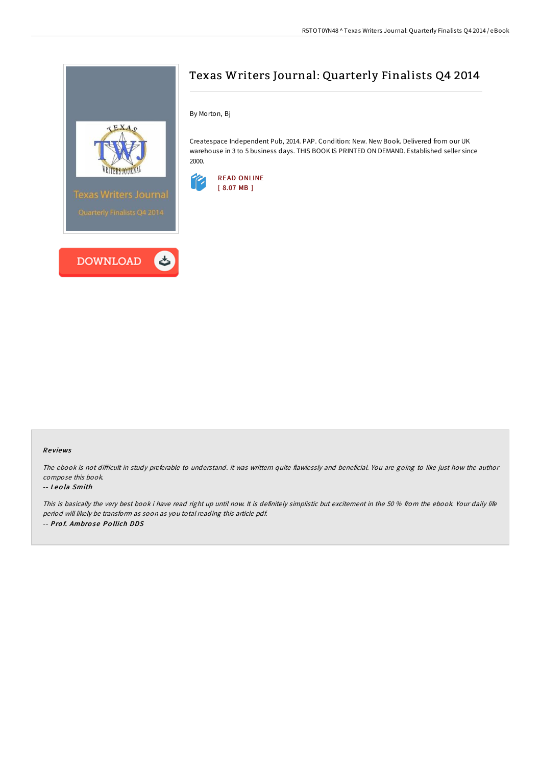



# Texas Writers Journal: Quarterly Finalists Q4 2014

By Morton, Bj

Createspace Independent Pub, 2014. PAP. Condition: New. New Book. Delivered from our UK warehouse in 3 to 5 business days. THIS BOOK IS PRINTED ON DEMAND. Established seller since 2000.



### Re views

The ebook is not difficult in study preferable to understand. it was writtern quite flawlessly and beneficial. You are going to like just how the author compose this book.

#### -- Leo la Smith

This is basically the very best book i have read right up until now. It is definitely simplistic but excitement in the 50 % from the ebook. Your daily life period will likely be transform as soon as you total reading this article pdf. -- Pro f. Ambro se Po llich DDS